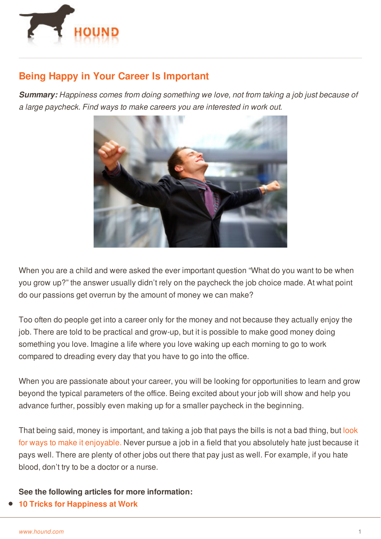

## **Being Happy in Your Career Is Important**

*Summary: Happiness comes from doing something we love, not from taking a job just because of a large paycheck. Find ways to make careers you are interested in work out.*



When you are a child and were asked the ever important question "What do you want to be when you grow up?" the answer usually didn't rely on the paycheck the job choice made. At what point do our passions get overrun by the amount of money we can make?

Too often do people get into a career only for the money and not because they actually enjoy the job. There are told to be practical and grow-up, but it is possible to make good money doing something you love. Imagine a life where you love waking up each morning to go to work compared to dreading every day that you have to go into the office.

When you are passionate about your career, you will be looking for opportunities to learn and grow beyond the typical parameters of the office. Being excited about your job will show and help you advance further, possibly even making up for a smaller paycheck in the beginning.

That being said, money is important, and taking a job that pays the bills is not a bad thing, but look for ways to make it [enjoyable.](http://www.hound.com/article/900046278/Celebrate-the-Little-Things-to-Stay-Motivated/) Never pursue a job in a field that you absolutely hate just because it pays well. There are plenty of other jobs out there that pay just as well. For example, if you hate [blood,](http://www.hound.com/) don't try to be a doctor or a nurse.

**See the following articles for more information:**

**10 Tricks for [Happiness](http://www.hound.com/article/1090908/10-Tricks-for-Happiness-at-Work/) at Work**